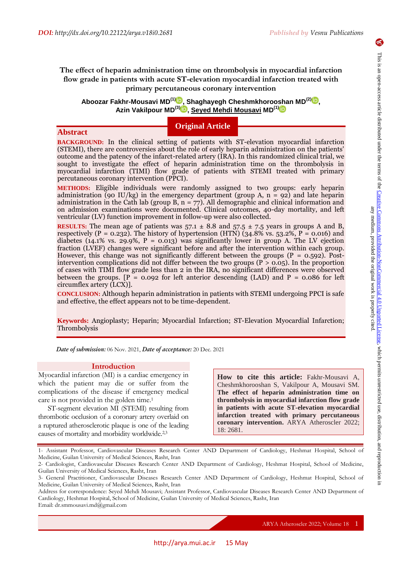6

**Abstract**

# **The effect of heparin administration time on thrombolysis in myocardial infarction flow grade in patients with acute ST-elevation myocardial infarction treated with primary percutaneous coronary intervention**

**Aboozar Fakhr-Mousavi MD(1[\)](https://orcid.org/0000-0001-9916-5400) , Shaghayegh Cheshmkhorooshan MD(2) [,](https://orcid.org/0000-0002-6578-0189) Azin Vakilpour MD(3[\)](https://orcid.org/0000-0002-9231-3674) , Seyed Mehdi Mousavi MD(1)**

# **Original Article**

**BACKGROUND:** In the clinical setting of patients with ST-elevation myocardial infarction (STEMI), there are controversies about the role of early heparin administration on the patients' outcome and the patency of the infarct-related artery (IRA). In this randomized clinical trial, we sought to investigate the effect of heparin administration time on the thrombolysis in myocardial infarction (TIMI) flow grade of patients with STEMI treated with primary percutaneous coronary intervention (PPCI).

**METHODS:** Eligible individuals were randomly assigned to two groups: early heparin administration (90 IU/kg) in the emergency department (group A,  $n = 92$ ) and late heparin administration in the Cath lab (group B,  $n = 77$ ). All demographic and clinical information and on admission examinations were documented. Clinical outcomes, 40-day mortality, and left ventricular (LV) function improvement in follow-up were also collected.

**RESULTS:** The mean age of patients was  $57.1 \pm 8.8$  and  $57.5 \pm 7.5$  years in groups A and B, respectively (P = 0.232). The history of hypertension (HTN) (34.8% vs. 53.2%, P = 0.016) and diabetes (14.1% vs. 29.9%,  $P = 0.013$ ) was significantly lower in group A. The LV ejection fraction (LVEF) changes were significant before and after the intervention within each group. However, this change was not significantly different between the groups  $(P = 0.592)$ . Postintervention complications did not differ between the two groups ( $P > 0.05$ ). In the proportion of cases with TIMI flow grade less than 2 in the IRA, no significant differences were observed between the groups.  $[P = 0.092$  for left anterior descending (LAD) and P = 0.086 for left circumflex artery (LCX)].

**CONCLUSION:** Although heparin administration in patients with STEMI undergoing PPCI is safe and effective, the effect appears not to be time-dependent.

**Keywords:** Angioplasty; Heparin; Myocardial Infarction; ST-Elevation Myocardial Infarction; Thrombolysis

*Date of submission:* 06 Nov. 2021, *Date of acceptance:* 20 Dec. 2021

## **Introduction**

Myocardial infarction (MI) is a cardiac emergency in which the patient may die or suffer from the complications of the disease if emergency medical care is not provided in the golden time.<sup>1</sup>

ST-segment elevation MI (STEMI) resulting from thrombotic occlusion of a coronary artery overlaid on a ruptured atherosclerotic plaque is one of the leading causes of mortality and morbidity worldwide.2,3

**How to cite this article:** Fakhr-Mousavi A, Cheshmkhorooshan S, Vakilpour A, Mousavi SM. **The effect of heparin administration time on thrombolysis in myocardial infarction flow grade in patients with acute ST-elevation myocardial infarction treated with primary percutaneous coronary intervention.** ARYA Atheroscler 2022; 18: 2681.

<sup>1-</sup> Assistant Professor, Cardiovascular Diseases Research Center AND Department of Cardiology, Heshmat Hospital, School of Medicine, Guilan University of Medical Sciences, Rasht, Iran

<sup>2-</sup> Cardiologist, Cardiovascular Diseases Research Center AND Department of Cardiology, Heshmat Hospital, School of Medicine, Guilan University of Medical Sciences, Rasht, Iran

<sup>3-</sup> General Practitioner, Cardiovascular Diseases Research Center AND Department of Cardiology, Heshmat Hospital, School of Medicine, Guilan University of Medical Sciences, Rasht, Iran

Address for correspondence: Seyed Mehdi Mousavi; Assistant Professor, Cardiovascular Diseases Research Center AND Department of Cardiology, Heshmat Hospital, School of Medicine, Guilan University of Medical Sciences, Rasht, Iran Email: dr.smmousavi.md@gmail.com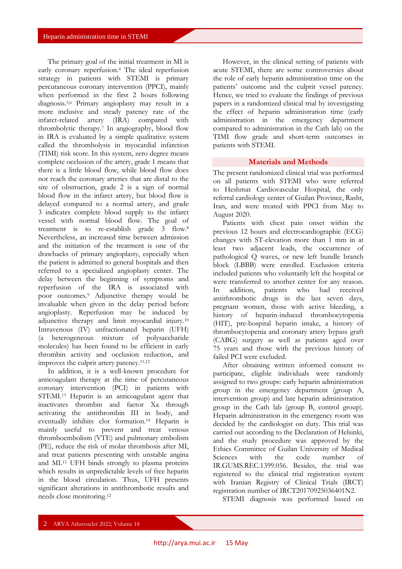The primary goal of the initial treatment in MI is early coronary reperfusion.<sup>4</sup> The ideal reperfusion strategy in patients with STEMI is primary percutaneous coronary intervention (PPCI), mainly when performed in the first 2 hours following diagnosis.5,6 Primary angioplasty may result in a more inclusive and steady patency rate of the infarct-related artery (IRA) compared with thrombolytic therapy.<sup>7</sup> In angiography, blood flow in IRA is evaluated by a simple qualitative system called the thrombolysis in myocardial infarction (TIMI) risk score. In this system, zero degree means complete occlusion of the artery, grade 1 means that there is a little blood flow, while blood flow does not reach the coronary arteries that are distal to the site of obstruction, grade 2 is a sign of normal blood flow in the infarct artery, but blood flow is delayed compared to a normal artery, and grade 3 indicates complete blood supply to the infarct vessel with normal blood flow. The goal of treatment is to re-establish grade 3 flow.<sup>8</sup> Nevertheless, an increased time between admission and the initiation of the treatment is one of the drawbacks of primary angioplasty, especially when the patient is admitted to general hospitals and then referred to a specialized angioplasty center. The delay between the beginning of symptoms and reperfusion of the IRA is associated with poor outcomes.<sup>9</sup> Adjunctive therapy would be invaluable when given in the delay period before angioplasty. Reperfusion may be induced by adjunctive therapy and limit myocardial injury.<sup>10</sup> Intravenous (IV) unfractionated heparin (UFH) (a heterogeneous mixture of polysaccharide molecules) has been found to be efficient in early thrombin activity and occlusion reduction, and improves the culprit artery patency.11,12

In addition, it is a well-known procedure for anticoagulant therapy at the time of percutaneous coronary intervention (PCI) in patients with STEMI.<sup>13</sup> Heparin is an anticoagulant agent that inactivates thrombin and factor Xa through activating the antithrombin III in body, and eventually inhibits clot formation.<sup>14</sup> Heparin is mainly useful to prevent and treat venous thromboembolism (VTE) and pulmonary embolism (PE), reduce the risk of molar thrombosis after MI, and treat patients presenting with unstable angina and MI.<sup>15</sup> UFH binds strongly to plasma proteins which results in unpredictable levels of free heparin in the blood circulation. Thus, UFH presents significant alterations in antithrombotic results and needs close monitoring.<sup>12</sup>

However, in the clinical setting of patients with acute STEMI, there are some controversies about the role of early heparin administration time on the patients' outcome and the culprit vessel patency. Hence, we tried to evaluate the findings of previous papers in a randomized clinical trial by investigating the effect of heparin administration time (early administration in the emergency department compared to administration in the Cath lab) on the TIMI flow grade and short-term outcomes in patients with STEMI.

## **Materials and Methods**

The present randomized clinical trial was performed on all patients with STEMI who were referred to Heshmat Cardiovascular Hospital, the only referral cardiology center of Guilan Province, Rasht, Iran, and were treated with PPCI from May to August 2020.

Patients with chest pain onset within the previous 12 hours and electrocardiographic (ECG) changes with ST-elevation more than 1 mm in at least two adjacent leads, the occurrence of pathological Q waves, or new left bundle branch block (LBBB) were enrolled. Exclusion criteria included patients who voluntarily left the hospital or were transferred to another center for any reason. In addition, patients who had received antithrombotic drugs in the last seven days, pregnant women, those with active bleeding, a history of heparin-induced thrombocytopenia (HIT), pre-hospital heparin intake, a history of thrombocytopenia and coronary artery bypass graft (CABG) surgery as well as patients aged over 75 years and those with the previous history of failed PCI were excluded.

After obtaining written informed consent to participate, eligible individuals were randomly assigned to two groups: early heparin administration group in the emergency department (group A, intervention group) and late heparin administration group in the Cath lab (group B, control group). Heparin administration in the emergency room was decided by the cardiologist on duty. This trial was carried out according to the Declaration of Helsinki, and the study procedure was approved by the Ethics Committee of Guilan University of Medical Sciences with the code number of IR.GUMS.REC.1399.056. Besides, the trial was registered to the clinical trial registration system with Iranian Registry of Clinical Trials (IRCT) registration number of IRCT20170925036401N2.

STEMI diagnosis was performed based on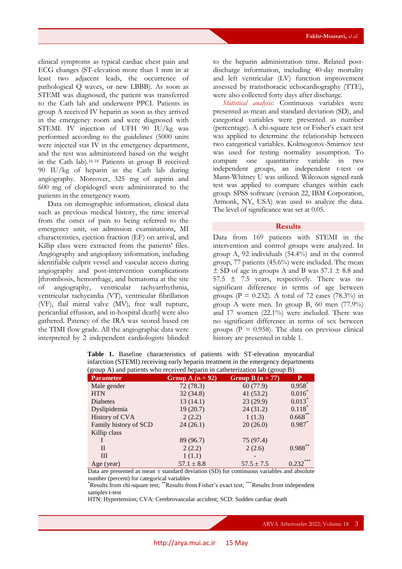clinical symptoms as typical cardiac chest pain and ECG changes (ST-elevation more than 1 mm in at least two adjacent leads, the occurrence of pathological Q waves, or new LBBB). As soon as STEMI was diagnosed, the patient was transferred to the Cath lab and underwent PPCI. Patients in group A received IV heparin as soon as they arrived in the emergency room and were diagnosed with STEMI. IV injection of UFH 90 IU/kg was performed according to the guidelines (5000 units were injected stat IV in the emergency department, and the rest was administered based on the weight in the Cath lab).16-18 Patients in group B received 90 IU/kg of heparin in the Cath lab during angiography. Moreover, 325 mg of aspirin and 600 mg of clopidogrel were administrated to the patients in the emergency room.

Data on demographic information, clinical data such as previous medical history, the time interval from the onset of pain to being referred to the emergency unit, on admission examinations, MI characteristics, ejection fraction (EF) on arrival, and Killip class were extracted from the patients' files. Angiography and angioplasty information, including identifiable culprit vessel and vascular access during angiography and post-intervention complications [thrombosis, hemorrhage, and hematoma at the site of angiography, ventricular tachyarrhythmia, ventricular tachycardia (VT), ventricular fibrillation (VF), flail mitral valve (MV), free wall rupture, pericardial effusion, and in-hospital death] were also gathered. Patency of the IRA was scored based on the TIMI flow grade. All the angiographic data were interpreted by 2 independent cardiologists blinded

to the heparin administration time. Related postdischarge information, including 40-day mortality and left ventricular (LV) function improvement assessed by transthoracic echocardiography (TTE), were also collected forty days after discharge.

*Statistical analysis:* Continuous variables were presented as mean and standard deviation (SD), and categorical variables were presented as number (percentage). A chi-square test or Fisher's exact test was applied to determine the relationship between two categorical variables. Kolmogorov-Smirnov test was used for testing normality assumption. To compare one quantitative variable in two independent groups, an independent t-test or Mann-Whitney U was utilized. Wilcoxon signed-rank test was applied to compare changes within each group. SPSS software (version 22, IBM Corporation, Armonk, NY, USA) was used to analyze the data. The level of significance was set at 0.05.

## **Results**

Data from 169 patients with STEMI in the intervention and control groups were analyzed. In group A, 92 individuals (54.4%) and in the control group, 77 patients (45.6%) were included. The mean  $\pm$  SD of age in groups A and B was 57.1  $\pm$  8.8 and 57.5  $\pm$  7.5 years, respectively. There was no significant difference in terms of age between groups ( $P = 0.232$ ). A total of 72 cases (78.3%) in group A were men. In group B, 60 men (77.9%) and 17 women (22.1%) were included. There was no significant difference in terms of sex between groups ( $P = 0.958$ ). The data on previous clinical history are presented in table 1.

| (group A) and patients who received heparin in catheterization lab (group B) |                    |                    |              |  |  |  |
|------------------------------------------------------------------------------|--------------------|--------------------|--------------|--|--|--|
| <b>Parameter</b>                                                             | Group A $(n = 92)$ | Group B $(n = 77)$ | P            |  |  |  |
| Male gender                                                                  | 72(78.3)           | 60 (77.9)          | $0.958$ *    |  |  |  |
| <b>HTN</b>                                                                   | 32(34.8)           | 41(53.2)           | $0.016^*$    |  |  |  |
| Diabetes                                                                     | 13(14.1)           | 23(29.9)           | $0.013$ *    |  |  |  |
| Dyslipidemia                                                                 | 19(20.7)           | 24(31.2)           | $0.118*$     |  |  |  |
| History of CVA                                                               | 2(2.2)             | 1(1.3)             | $0.668***$   |  |  |  |
| Family history of SCD                                                        | 24(26.1)           | 20(26.0)           | $0.987$ *    |  |  |  |
| Killip class                                                                 |                    |                    |              |  |  |  |
|                                                                              | 89 (96.7)          | 75 (97.4)          |              |  |  |  |
| $\mathbf{I}$                                                                 | 2(2.2)             | 2(2.6)             | $0.988**$    |  |  |  |
| III                                                                          | 1(1.1)             |                    |              |  |  |  |
| Age (year)                                                                   | $57.1 \pm 8.8$     | $57.5 \pm 7.5$     | ***<br>0.232 |  |  |  |

**Table 1.** Baseline characteristics of patients with ST-elevation myocardial infarction (STEMI) receiving early heparin treatment in the emergency departments

Data are presented as mean  $\pm$  standard deviation (SD) for continuous variables and absolute number (percent) for categorical variables

\*Results from chi-square test; \*\*Results from Fisher's exact test; \*\*\*Results from independent samples t-test

HTN: Hypertension; CVA: Cerebrovascular accident; SCD: Sudden cardiac death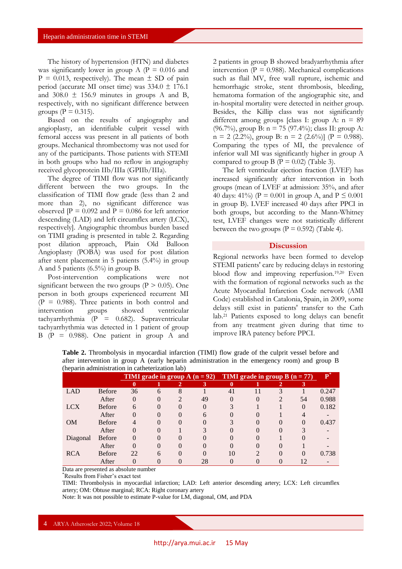The history of hypertension (HTN) and diabetes was significantly lower in group A ( $P = 0.016$  and  $P = 0.013$ , respectively). The mean  $\pm$  SD of pain period (accurate MI onset time) was  $334.0 \pm 176.1$ and  $308.0 \pm 156.9$  minutes in groups A and B, respectively, with no significant difference between groups ( $P = 0.315$ ).

Based on the results of angiography and angioplasty, an identifiable culprit vessel with femoral access was present in all patients of both groups. Mechanical thrombectomy was not used for any of the participants. Those patients with STEMI in both groups who had no reflow in angiography received glycoprotein IIb/IIIa (GPIIb/IIIa).

The degree of TIMI flow was not significantly different between the two groups. In the classification of TIMI flow grade (less than 2 and more than 2), no significant difference was observed  $[P = 0.092$  and  $P = 0.086$  for left anterior descending (LAD) and left circumflex artery (LCX), respectively]. Angiographic thrombus burden based on TIMI grading is presented in table 2. Regarding post dilation approach, Plain Old Balloon Angioplasty (POBA) was used for post dilation after stent placement in 5 patients (5.4%) in group A and 5 patients (6.5%) in group B.

Post-intervention complications were not significant between the two groups ( $P > 0.05$ ). One person in both groups experienced recurrent MI  $(P = 0.988)$ . Three patients in both control and intervention groups showed ventricular tachyarrhythmia (P = 0.682). Supraventricular tachyarrhythmia was detected in 1 patient of group  $B$  (P = 0.988). One patient in group A and 2 patients in group B showed bradyarrhythmia after intervention ( $P = 0.988$ ). Mechanical complications such as flail MV, free wall rupture, ischemic and hemorrhagic stroke, stent thrombosis, bleeding, hematoma formation of the angiographic site, and in-hospital mortality were detected in neither group. Besides, the Killip class was not significantly different among groups [class I: group A:  $n = 89$ (96.7%), group B: n = 75 (97.4%); class II: group A:  $n = 2$  (2.2%), group B:  $n = 2$  (2.6%)] (P = 0.988). Comparing the types of MI, the prevalence of inferior wall MI was significantly higher in group A compared to group B ( $P = 0.02$ ) (Table 3).

The left ventricular ejection fraction (LVEF) has increased significantly after intervention in both groups (mean of LVEF at admission: 35%, and after 40 days: 41%) ( $P = 0.001$  in group A, and  $P \le 0.001$ in group B). LVEF increased 40 days after PPCI in both groups, but according to the Mann-Whitney test, LVEF changes were not statistically different between the two groups ( $P = 0.592$ ) (Table 4).

#### **Discussion**

Regional networks have been formed to develop STEMI patients' care by reducing delays in restoring blood flow and improving reperfusion.19,20 Even with the formation of regional networks such as the Acute Myocardial Infarction Code network (AMI Code) established in Catalonia, Spain, in 2009, some delays still exist in patients' transfer to the Cath lab.<sup>21</sup> Patients exposed to long delays can benefit from any treatment given during that time to improve IRA patency before PPCI.

| (heparin administration in catheterization lab) |               |                                        |          |                       |                                  |          |  |               |    |       |
|-------------------------------------------------|---------------|----------------------------------------|----------|-----------------------|----------------------------------|----------|--|---------------|----|-------|
|                                                 |               | <b>TIMI</b> grade in group $A(n = 92)$ |          |                       | TIMI grade in group B $(n = 77)$ |          |  | ${\bf P}^{*}$ |    |       |
|                                                 |               |                                        |          | $\mathbf{2}^{\prime}$ | 3                                | 0        |  |               | 3  |       |
| LAD                                             | <b>Before</b> | 36                                     | 6        | 8                     |                                  | 41       |  |               |    | 0.247 |
|                                                 | After         | 0                                      | 0        |                       | 49                               | $\Omega$ |  |               | 54 | 0.988 |
| <b>LCX</b>                                      | <b>Before</b> | 6                                      | $\theta$ | $\theta$              |                                  |          |  |               |    | 0.182 |
|                                                 | After         | 0                                      | $\theta$ |                       | 6                                |          |  |               |    |       |
| <b>OM</b>                                       | <b>Before</b> |                                        | 0        |                       |                                  |          |  |               |    | 0.437 |
|                                                 | After         |                                        |          |                       |                                  |          |  |               |    |       |
| Diagonal                                        | <b>Before</b> | 0                                      | $\Omega$ |                       |                                  |          |  |               |    |       |
|                                                 | After         | 0                                      | 0        |                       |                                  |          |  |               |    |       |
| <b>RCA</b>                                      | <b>Before</b> | 22                                     |          |                       |                                  |          |  |               |    | 0.738 |

**Table 2.** Thrombolysis in myocardial infarction (TIMI) flow grade of the culprit vessel before and after intervention in group A (early heparin administration in the emergency room) and group B

Data are presented as absolute number

\*Results from Fisher's exact test

TIMI: Thrombolysis in myocardial infarction; LAD: Left anterior descending artery; LCX: Left circumflex artery; OM: Obtuse marginal; RCA: Right coronary artery

After 0 0 0 28 0 0 0 12 -

Note: It was not possible to estimate P-value for LM, diagonal, OM, and PDA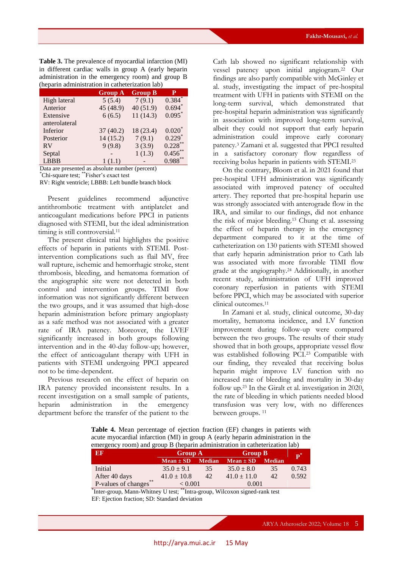**Table 3.** The prevalence of myocardial infarction (MI) in different cardiac walls in group A (early heparin administration in the emergency room) and group B (heparin administration in catheterization lab)

|               | <b>Group A</b> | <b>Group B</b> | P                 |
|---------------|----------------|----------------|-------------------|
| High lateral  | 5(5.4)         | 7(9.1)         | $0.384^{\degree}$ |
| Anterior      | 45 (48.9)      | 40(51.9)       | 0.694             |
| Extensive     | 6(6.5)         | 11(14.3)       | $0.095$ *         |
| anterolateral |                |                |                   |
| Inferior      | 37(40.2)       | 18(23.4)       | $0.020*$          |
| Posterior     | 14(15.2)       | 7(9.1)         | $0.229*$          |
| <b>RV</b>     | 9(9.8)         | 3(3.9)         | 0.228             |
| Septal        |                | 1(1.3)         | 0.456             |
| <b>LBBB</b>   | 1(1.1)         |                | $0.988***$        |

Data are presented as absolute number (percent)

\*Chi-square test; \*\*Fisher's exact test

RV: Right ventricle; LBBB: Left bundle branch block

Present guidelines recommend adjunctive antithrombotic treatment with antiplatelet and anticoagulant medications before PPCI in patients diagnosed with STEMI, but the ideal administration timing is still controversial.<sup>11</sup>

The present clinical trial highlights the positive effects of heparin in patients with STEMI. Postintervention complications such as flail MV, free wall rupture, ischemic and hemorrhagic stroke, stent thrombosis, bleeding, and hematoma formation of the angiographic site were not detected in both control and intervention groups. TIMI flow information was not significantly different between the two groups, and it was assumed that high-dose heparin administration before primary angioplasty as a safe method was not associated with a greater rate of IRA patency. Moreover, the LVEF significantly increased in both groups following intervention and in the 40-day follow-up; however, the effect of anticoagulant therapy with UFH in patients with STEMI undergoing PPCI appeared not to be time-dependent.

Previous research on the effect of heparin on IRA patency provided inconsistent results. In a recent investigation on a small sample of patients, heparin administration in the emergency department before the transfer of the patient to the

Cath lab showed no significant relationship with vessel patency upon initial angiogram.<sup>22</sup> Our findings are also partly compatible with McGinley et al. study, investigating the impact of pre-hospital treatment with UFH in patients with STEMI on the long-term survival, which demonstrated that pre-hospital heparin administration was significantly in association with improved long-term survival, albeit they could not support that early heparin administration could improve early coronary patency.<sup>3</sup> Zamani et al. suggested that PPCI resulted in a satisfactory coronary flow regardless of receiving bolus heparin in patients with STEMI.<sup>23</sup>

On the contrary, Bloom et al. in 2021 found that pre-hospital UFH administration was significantly associated with improved patency of occulted artery. They reported that pre-hospital heparin use was strongly associated with anterograde flow in the IRA, and similar to our findings, did not enhance the risk of major bleeding.<sup>13</sup> Chung et al. assessing the effect of heparin therapy in the emergency department compared to it at the time of catheterization on 130 patients with STEMI showed that early heparin administration prior to Cath lab was associated with more favorable TIMI flow grade at the angiography.<sup>24</sup> Additionally, in another recent study, administration of UFH improved coronary reperfusion in patients with STEMI before PPCI, which may be associated with superior clinical outcomes.<sup>11</sup>

In Zamani et al. study, clinical outcome, 30-day mortality, hematoma incidence, and LV function improvement during follow-up were compared between the two groups. The results of their study showed that in both groups, appropriate vessel flow was established following PCI.<sup>23</sup> Compatible with our finding, they revealed that receiving bolus heparin might improve LV function with no increased rate of bleeding and mortality in 30-day follow up.<sup>23</sup> In the Giralt et al. investigation in 2020, the rate of bleeding in which patients needed blood transfusion was very low, with no differences between groups.<sup>11</sup>

**Table 4.** Mean percentage of ejection fraction (EF) changes in patients with acute myocardial infarction (MI) in group A (early heparin administration in the emergency room) and group B (heparin administration in catheterization lab)

| $E$ F                 | <b>Group A</b>  |               | <b>Group B</b>  | $\mathbf{p}^*$ |       |
|-----------------------|-----------------|---------------|-----------------|----------------|-------|
|                       | $Mean \pm SD$   | <b>Median</b> | $Mean \pm SD$   | <b>Median</b>  |       |
| Initial               | $35.0 \pm 9.1$  | 35            | $35.0 \pm 8.0$  | 35             | 0.743 |
| After 40 days         | $41.0 \pm 10.8$ | 42            | $41.0 \pm 11.0$ | 42             | 0.592 |
| P-values of changes** | < 0.001         |               | 0.001           |                |       |

\* Inter-group, Mann-Whitney U test; \*\*Intra-group, Wilcoxon signed-rank test EF: Ejection fraction; SD: Standard deviation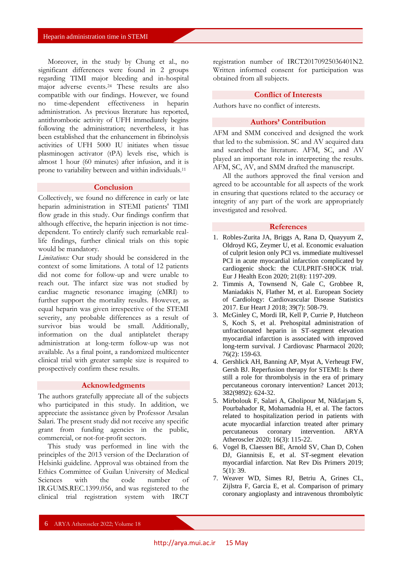Moreover, in the study by Chung et al., no significant differences were found in 2 groups regarding TIMI major bleeding and in-hospital major adverse events.<sup>24</sup> These results are also compatible with our findings. However, we found no time-dependent effectiveness in heparin administration. As previous literature has reported, antithrombotic activity of UFH immediately begins following the administration; nevertheless, it has been established that the enhancement in fibrinolysis activities of UFH 5000 IU initiates when tissue plasminogen activator (tPA) levels rise, which is almost 1 hour (60 minutes) after infusion, and it is prone to variability between and within individuals.<sup>11</sup>

#### **Conclusion**

Collectively, we found no difference in early or late heparin administration in STEMI patients' TIMI flow grade in this study. Our findings confirm that although effective, the heparin injection is not timedependent. To entirely clarify such remarkable reallife findings, further clinical trials on this topic would be mandatory.

*Limitations:* Our study should be considered in the context of some limitations. A total of 12 patients did not come for follow-up and were unable to reach out. The infarct size was not studied by cardiac magnetic resonance imaging (cMRI) to further support the mortality results. However, as equal heparin was given irrespective of the STEMI severity, any probable differences as a result of survivor bias would be small. Additionally, information on the dual antiplatelet therapy administration at long-term follow-up was not available. As a final point, a randomized multicenter clinical trial with greater sample size is required to prospectively confirm these results.

## **Acknowledgments**

The authors gratefully appreciate all of the subjects who participated in this study. In addition, we appreciate the assistance given by Professor Arsalan Salari. The present study did not receive any specific grant from funding agencies in the public, commercial, or not-for-profit sectors.

This study was performed in line with the principles of the 2013 version of the Declaration of Helsinki guideline. Approval was obtained from the Ethics Committee of Guilan University of Medical Sciences with the code number of IR.GUMS.REC.1399.056, and was registered to the clinical trial registration system with IRCT

registration number of IRCT20170925036401N2. Written informed consent for participation was obtained from all subjects.

#### **Conflict of Interests**

Authors have no conflict of interests.

## **Authors' Contribution**

AFM and SMM conceived and designed the work that led to the submission. SC and AV acquired data and searched the literature. AFM, SC, and AV played an important role in interpreting the results. AFM, SC, AV, and SMM drafted the manuscript.

All the authors approved the final version and agreed to be accountable for all aspects of the work in ensuring that questions related to the accuracy or integrity of any part of the work are appropriately investigated and resolved.

#### **References**

- 1. Robles-Zurita JA, Briggs A, Rana D, Quayyum Z, Oldroyd KG, Zeymer U, et al. Economic evaluation of culprit lesion only PCI vs. immediate multivessel PCI in acute myocardial infarction complicated by cardiogenic shock: the CULPRIT-SHOCK trial. Eur J Health Econ 2020; 21(8): 1197-209.
- 2. Timmis A, Townsend N, Gale C, Grobbee R, Maniadakis N, Flather M, et al. European Society of Cardiology: Cardiovascular Disease Statistics 2017. Eur Heart J 2018; 39(7): 508-79.
- 3. McGinley C, Mordi IR, Kell P, Currie P, Hutcheon S, Koch S, et al. Prehospital administration of unfractionated heparin in ST-segment elevation myocardial infarction is associated with improved long-term survival. J Cardiovasc Pharmacol 2020; 76(2): 159-63.
- 4. Gershlick AH, Banning AP, Myat A, Verheugt FW, Gersh BJ. Reperfusion therapy for STEMI: Is there still a role for thrombolysis in the era of primary percutaneous coronary intervention? Lancet 2013; 382(9892): 624-32.
- 5. Mirbolouk F, Salari A, Gholipour M, Nikfarjam S, Pourbahador R, Mohamadnia H, et al. The factors related to hospitalization period in patients with acute myocardial infarction treated after primary percutaneous coronary intervention. ARYA Atheroscler 2020; 16(3): 115-22.
- 6. Vogel B, Claessen BE, Arnold SV, Chan D, Cohen DJ, Giannitsis E, et al. ST-segment elevation myocardial infarction. Nat Rev Dis Primers 2019; 5(1): 39.
- 7. Weaver WD, Simes RJ, Betriu A, Grines CL, Zijlstra F, Garcia E, et al. Comparison of primary coronary angioplasty and intravenous thrombolytic

6 ARYA Atheroscler 2022; Volume 18